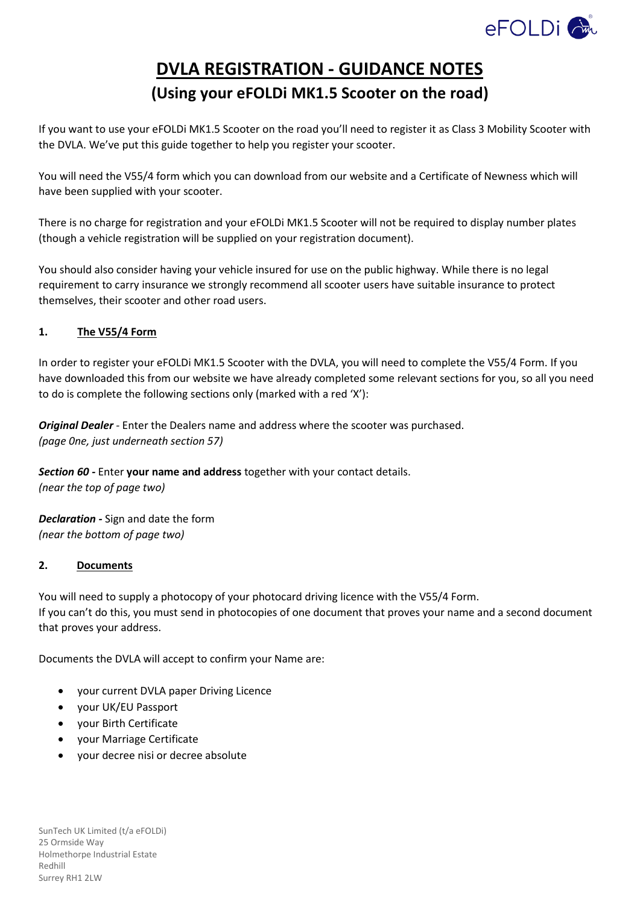

# **DVLA REGISTRATION - GUIDANCE NOTES (Using your eFOLDi MK1.5 Scooter on the road)**

If you want to use your eFOLDi MK1.5 Scooter on the road you'll need to register it as Class 3 Mobility Scooter with the DVLA. We've put this guide together to help you register your scooter.

You will need the V55/4 form which you can download from our website and a Certificate of Newness which will have been supplied with your scooter.

There is no charge for registration and your eFOLDi MK1.5 Scooter will not be required to display number plates (though a vehicle registration will be supplied on your registration document).

You should also consider having your vehicle insured for use on the public highway. While there is no legal requirement to carry insurance we strongly recommend all scooter users have suitable insurance to protect themselves, their scooter and other road users.

# **1. The V55/4 Form**

In order to register your eFOLDi MK1.5 Scooter with the DVLA, you will need to complete the V55/4 Form. If you have downloaded this from our website we have already completed some relevant sections for you, so all you need to do is complete the following sections only (marked with a red 'X'):

*Original Dealer -* Enter the Dealers name and address where the scooter was purchased. *(page 0ne, just underneath section 57)*

*Section 60 -* Enter **your name and address** together with your contact details. *(near the top of page two)*

*Declaration -* Sign and date the form *(near the bottom of page two)*

# **2. Documents**

You will need to supply a photocopy of your photocard driving licence with the V55/4 Form. If you can't do this, you must send in photocopies of one document that proves your name and a second document that proves your address.

Documents the DVLA will accept to confirm your Name are:

- your current DVLA paper Driving Licence
- your UK/EU Passport
- your Birth Certificate
- your Marriage Certificate
- your decree nisi or decree absolute

SunTech UK Limited (t/a eFOLDi) 25 Ormside Way Holmethorpe Industrial Estate Redhill Surrey RH1 2LW